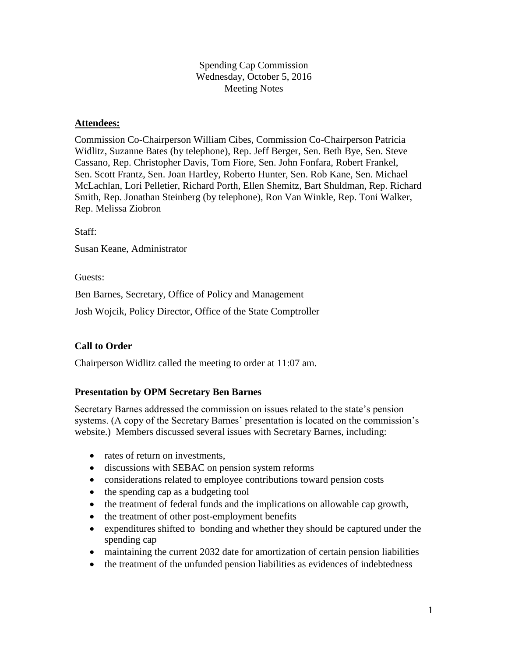Spending Cap Commission Wednesday, October 5, 2016 Meeting Notes

#### **Attendees:**

Commission Co-Chairperson William Cibes, Commission Co-Chairperson Patricia Widlitz, Suzanne Bates (by telephone), Rep. Jeff Berger, Sen. Beth Bye, Sen. Steve Cassano, Rep. Christopher Davis, Tom Fiore, Sen. John Fonfara, Robert Frankel, Sen. Scott Frantz, Sen. Joan Hartley, Roberto Hunter, Sen. Rob Kane, Sen. Michael McLachlan, Lori Pelletier, Richard Porth, Ellen Shemitz, Bart Shuldman, Rep. Richard Smith, Rep. Jonathan Steinberg (by telephone), Ron Van Winkle, Rep. Toni Walker, Rep. Melissa Ziobron

Staff:

Susan Keane, Administrator

Guests:

Ben Barnes, Secretary, Office of Policy and Management

Josh Wojcik, Policy Director, Office of the State Comptroller

### **Call to Order**

Chairperson Widlitz called the meeting to order at 11:07 am.

### **Presentation by OPM Secretary Ben Barnes**

Secretary Barnes addressed the commission on issues related to the state's pension systems. (A copy of the Secretary Barnes' presentation is located on the commission's website.) Members discussed several issues with Secretary Barnes, including:

- rates of return on investments.
- discussions with SEBAC on pension system reforms
- considerations related to employee contributions toward pension costs
- $\bullet$  the spending cap as a budgeting tool
- the treatment of federal funds and the implications on allowable cap growth,
- the treatment of other post-employment benefits
- expenditures shifted to bonding and whether they should be captured under the spending cap
- maintaining the current 2032 date for amortization of certain pension liabilities
- the treatment of the unfunded pension liabilities as evidences of indebtedness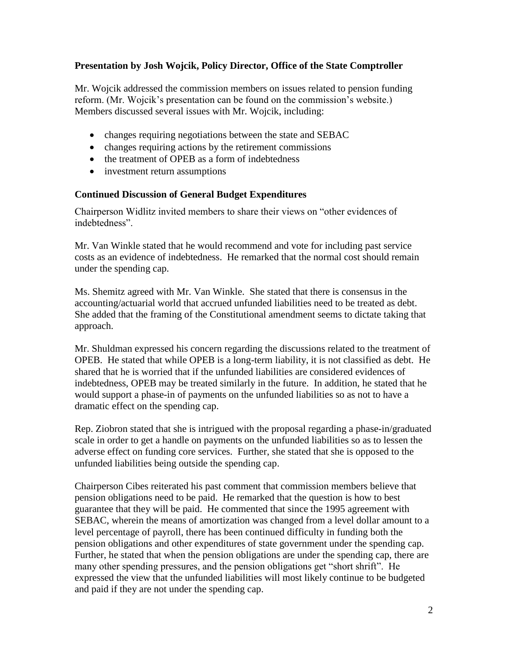### **Presentation by Josh Wojcik, Policy Director, Office of the State Comptroller**

Mr. Wojcik addressed the commission members on issues related to pension funding reform. (Mr. Wojcik's presentation can be found on the commission's website.) Members discussed several issues with Mr. Wojcik, including:

- changes requiring negotiations between the state and SEBAC
- changes requiring actions by the retirement commissions
- the treatment of OPEB as a form of indebtedness
- investment return assumptions

### **Continued Discussion of General Budget Expenditures**

Chairperson Widlitz invited members to share their views on "other evidences of indebtedness".

Mr. Van Winkle stated that he would recommend and vote for including past service costs as an evidence of indebtedness. He remarked that the normal cost should remain under the spending cap.

Ms. Shemitz agreed with Mr. Van Winkle. She stated that there is consensus in the accounting/actuarial world that accrued unfunded liabilities need to be treated as debt. She added that the framing of the Constitutional amendment seems to dictate taking that approach.

Mr. Shuldman expressed his concern regarding the discussions related to the treatment of OPEB. He stated that while OPEB is a long-term liability, it is not classified as debt. He shared that he is worried that if the unfunded liabilities are considered evidences of indebtedness, OPEB may be treated similarly in the future. In addition, he stated that he would support a phase-in of payments on the unfunded liabilities so as not to have a dramatic effect on the spending cap.

Rep. Ziobron stated that she is intrigued with the proposal regarding a phase-in/graduated scale in order to get a handle on payments on the unfunded liabilities so as to lessen the adverse effect on funding core services. Further, she stated that she is opposed to the unfunded liabilities being outside the spending cap.

Chairperson Cibes reiterated his past comment that commission members believe that pension obligations need to be paid. He remarked that the question is how to best guarantee that they will be paid. He commented that since the 1995 agreement with SEBAC, wherein the means of amortization was changed from a level dollar amount to a level percentage of payroll, there has been continued difficulty in funding both the pension obligations and other expenditures of state government under the spending cap. Further, he stated that when the pension obligations are under the spending cap, there are many other spending pressures, and the pension obligations get "short shrift". He expressed the view that the unfunded liabilities will most likely continue to be budgeted and paid if they are not under the spending cap.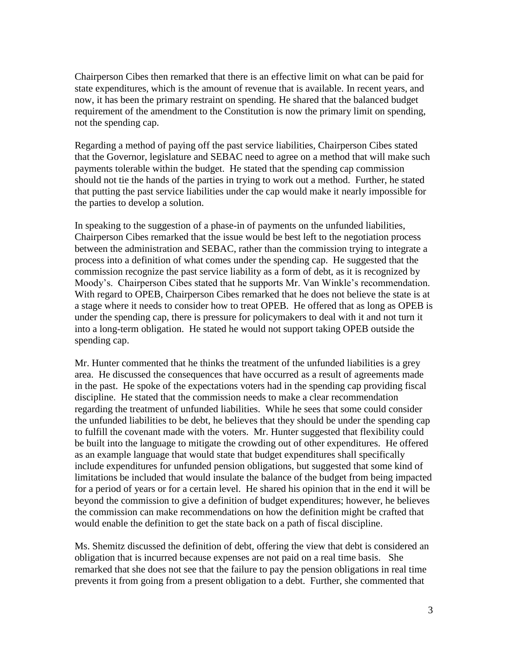Chairperson Cibes then remarked that there is an effective limit on what can be paid for state expenditures, which is the amount of revenue that is available. In recent years, and now, it has been the primary restraint on spending. He shared that the balanced budget requirement of the amendment to the Constitution is now the primary limit on spending, not the spending cap.

Regarding a method of paying off the past service liabilities, Chairperson Cibes stated that the Governor, legislature and SEBAC need to agree on a method that will make such payments tolerable within the budget. He stated that the spending cap commission should not tie the hands of the parties in trying to work out a method. Further, he stated that putting the past service liabilities under the cap would make it nearly impossible for the parties to develop a solution.

In speaking to the suggestion of a phase-in of payments on the unfunded liabilities, Chairperson Cibes remarked that the issue would be best left to the negotiation process between the administration and SEBAC, rather than the commission trying to integrate a process into a definition of what comes under the spending cap. He suggested that the commission recognize the past service liability as a form of debt, as it is recognized by Moody's. Chairperson Cibes stated that he supports Mr. Van Winkle's recommendation. With regard to OPEB, Chairperson Cibes remarked that he does not believe the state is at a stage where it needs to consider how to treat OPEB. He offered that as long as OPEB is under the spending cap, there is pressure for policymakers to deal with it and not turn it into a long-term obligation. He stated he would not support taking OPEB outside the spending cap.

Mr. Hunter commented that he thinks the treatment of the unfunded liabilities is a grey area. He discussed the consequences that have occurred as a result of agreements made in the past. He spoke of the expectations voters had in the spending cap providing fiscal discipline. He stated that the commission needs to make a clear recommendation regarding the treatment of unfunded liabilities. While he sees that some could consider the unfunded liabilities to be debt, he believes that they should be under the spending cap to fulfill the covenant made with the voters. Mr. Hunter suggested that flexibility could be built into the language to mitigate the crowding out of other expenditures. He offered as an example language that would state that budget expenditures shall specifically include expenditures for unfunded pension obligations, but suggested that some kind of limitations be included that would insulate the balance of the budget from being impacted for a period of years or for a certain level. He shared his opinion that in the end it will be beyond the commission to give a definition of budget expenditures; however, he believes the commission can make recommendations on how the definition might be crafted that would enable the definition to get the state back on a path of fiscal discipline.

Ms. Shemitz discussed the definition of debt, offering the view that debt is considered an obligation that is incurred because expenses are not paid on a real time basis. She remarked that she does not see that the failure to pay the pension obligations in real time prevents it from going from a present obligation to a debt. Further, she commented that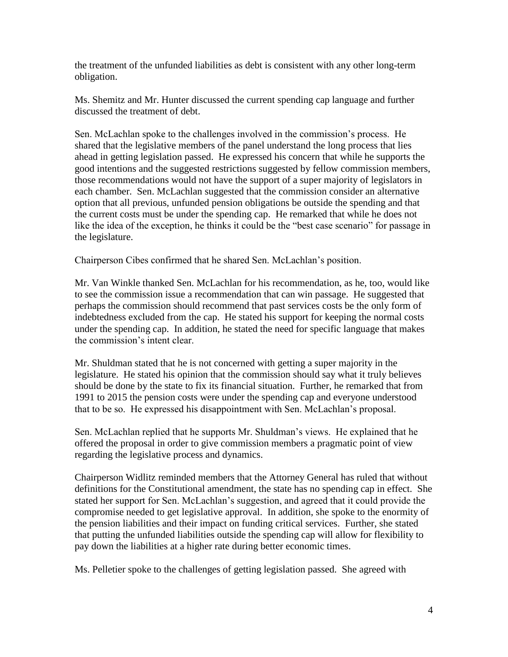the treatment of the unfunded liabilities as debt is consistent with any other long-term obligation.

Ms. Shemitz and Mr. Hunter discussed the current spending cap language and further discussed the treatment of debt.

Sen. McLachlan spoke to the challenges involved in the commission's process. He shared that the legislative members of the panel understand the long process that lies ahead in getting legislation passed. He expressed his concern that while he supports the good intentions and the suggested restrictions suggested by fellow commission members, those recommendations would not have the support of a super majority of legislators in each chamber. Sen. McLachlan suggested that the commission consider an alternative option that all previous, unfunded pension obligations be outside the spending and that the current costs must be under the spending cap. He remarked that while he does not like the idea of the exception, he thinks it could be the "best case scenario" for passage in the legislature.

Chairperson Cibes confirmed that he shared Sen. McLachlan's position.

Mr. Van Winkle thanked Sen. McLachlan for his recommendation, as he, too, would like to see the commission issue a recommendation that can win passage. He suggested that perhaps the commission should recommend that past services costs be the only form of indebtedness excluded from the cap. He stated his support for keeping the normal costs under the spending cap. In addition, he stated the need for specific language that makes the commission's intent clear.

Mr. Shuldman stated that he is not concerned with getting a super majority in the legislature. He stated his opinion that the commission should say what it truly believes should be done by the state to fix its financial situation. Further, he remarked that from 1991 to 2015 the pension costs were under the spending cap and everyone understood that to be so. He expressed his disappointment with Sen. McLachlan's proposal.

Sen. McLachlan replied that he supports Mr. Shuldman's views. He explained that he offered the proposal in order to give commission members a pragmatic point of view regarding the legislative process and dynamics.

Chairperson Widlitz reminded members that the Attorney General has ruled that without definitions for the Constitutional amendment, the state has no spending cap in effect. She stated her support for Sen. McLachlan's suggestion, and agreed that it could provide the compromise needed to get legislative approval. In addition, she spoke to the enormity of the pension liabilities and their impact on funding critical services. Further, she stated that putting the unfunded liabilities outside the spending cap will allow for flexibility to pay down the liabilities at a higher rate during better economic times.

Ms. Pelletier spoke to the challenges of getting legislation passed. She agreed with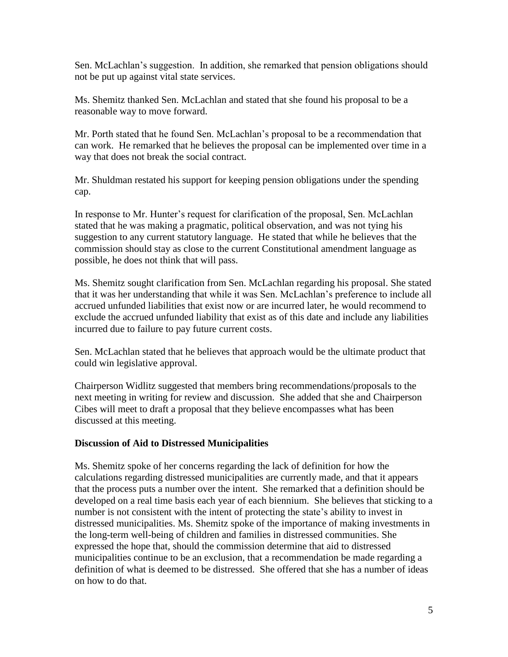Sen. McLachlan's suggestion. In addition, she remarked that pension obligations should not be put up against vital state services.

Ms. Shemitz thanked Sen. McLachlan and stated that she found his proposal to be a reasonable way to move forward.

Mr. Porth stated that he found Sen. McLachlan's proposal to be a recommendation that can work. He remarked that he believes the proposal can be implemented over time in a way that does not break the social contract.

Mr. Shuldman restated his support for keeping pension obligations under the spending cap.

In response to Mr. Hunter's request for clarification of the proposal, Sen. McLachlan stated that he was making a pragmatic, political observation, and was not tying his suggestion to any current statutory language. He stated that while he believes that the commission should stay as close to the current Constitutional amendment language as possible, he does not think that will pass.

Ms. Shemitz sought clarification from Sen. McLachlan regarding his proposal. She stated that it was her understanding that while it was Sen. McLachlan's preference to include all accrued unfunded liabilities that exist now or are incurred later, he would recommend to exclude the accrued unfunded liability that exist as of this date and include any liabilities incurred due to failure to pay future current costs.

Sen. McLachlan stated that he believes that approach would be the ultimate product that could win legislative approval.

Chairperson Widlitz suggested that members bring recommendations/proposals to the next meeting in writing for review and discussion. She added that she and Chairperson Cibes will meet to draft a proposal that they believe encompasses what has been discussed at this meeting.

### **Discussion of Aid to Distressed Municipalities**

Ms. Shemitz spoke of her concerns regarding the lack of definition for how the calculations regarding distressed municipalities are currently made, and that it appears that the process puts a number over the intent. She remarked that a definition should be developed on a real time basis each year of each biennium. She believes that sticking to a number is not consistent with the intent of protecting the state's ability to invest in distressed municipalities. Ms. Shemitz spoke of the importance of making investments in the long-term well-being of children and families in distressed communities. She expressed the hope that, should the commission determine that aid to distressed municipalities continue to be an exclusion, that a recommendation be made regarding a definition of what is deemed to be distressed. She offered that she has a number of ideas on how to do that.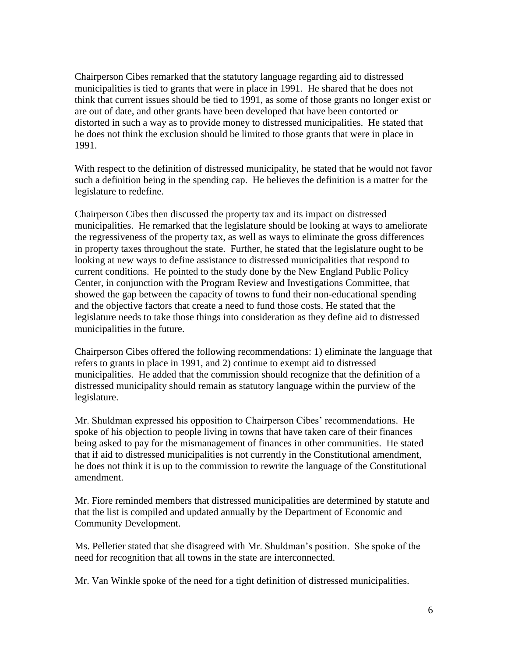Chairperson Cibes remarked that the statutory language regarding aid to distressed municipalities is tied to grants that were in place in 1991. He shared that he does not think that current issues should be tied to 1991, as some of those grants no longer exist or are out of date, and other grants have been developed that have been contorted or distorted in such a way as to provide money to distressed municipalities. He stated that he does not think the exclusion should be limited to those grants that were in place in 1991.

With respect to the definition of distressed municipality, he stated that he would not favor such a definition being in the spending cap. He believes the definition is a matter for the legislature to redefine.

Chairperson Cibes then discussed the property tax and its impact on distressed municipalities. He remarked that the legislature should be looking at ways to ameliorate the regressiveness of the property tax, as well as ways to eliminate the gross differences in property taxes throughout the state. Further, he stated that the legislature ought to be looking at new ways to define assistance to distressed municipalities that respond to current conditions. He pointed to the study done by the New England Public Policy Center, in conjunction with the Program Review and Investigations Committee, that showed the gap between the capacity of towns to fund their non-educational spending and the objective factors that create a need to fund those costs. He stated that the legislature needs to take those things into consideration as they define aid to distressed municipalities in the future.

Chairperson Cibes offered the following recommendations: 1) eliminate the language that refers to grants in place in 1991, and 2) continue to exempt aid to distressed municipalities. He added that the commission should recognize that the definition of a distressed municipality should remain as statutory language within the purview of the legislature.

Mr. Shuldman expressed his opposition to Chairperson Cibes' recommendations. He spoke of his objection to people living in towns that have taken care of their finances being asked to pay for the mismanagement of finances in other communities. He stated that if aid to distressed municipalities is not currently in the Constitutional amendment, he does not think it is up to the commission to rewrite the language of the Constitutional amendment.

Mr. Fiore reminded members that distressed municipalities are determined by statute and that the list is compiled and updated annually by the Department of Economic and Community Development.

Ms. Pelletier stated that she disagreed with Mr. Shuldman's position. She spoke of the need for recognition that all towns in the state are interconnected.

Mr. Van Winkle spoke of the need for a tight definition of distressed municipalities.